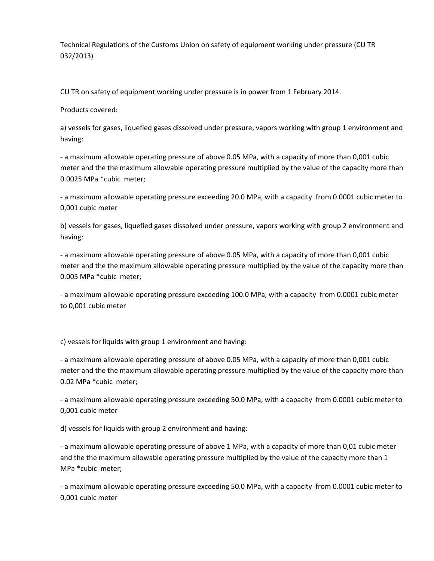Technical Regulations of the Customs Union on safety of equipment working under pressure (CU TR 032/2013)

CU TR on safety of equipment working under pressure is in power from 1 February 2014.

Products covered:

a) vessels for gases, liquefied gases dissolved under pressure, vapors working with group 1 environment and having:

- a maximum allowable operating pressure of above 0.05 MPa, with a capacity of more than 0,001 cubic meter and the the maximum allowable operating pressure multiplied by the value of the capacity more than 0.0025 MPa \*cubic meter;

- a maximum allowable operating pressure exceeding 20.0 MPa, with a capacity from 0.0001 cubic meter to 0,001 cubic meter

b) vessels for gases, liquefied gases dissolved under pressure, vapors working with group 2 environment and having:

- a maximum allowable operating pressure of above 0.05 MPa, with a capacity of more than 0,001 cubic meter and the the maximum allowable operating pressure multiplied by the value of the capacity more than 0.005 MPa \*cubic meter;

- a maximum allowable operating pressure exceeding 100.0 MPa, with a capacity from 0.0001 cubic meter to 0,001 cubic meter

c) vessels for liquids with group 1 environment and having:

- a maximum allowable operating pressure of above 0.05 MPa, with a capacity of more than 0,001 cubic meter and the the maximum allowable operating pressure multiplied by the value of the capacity more than 0.02 MPa \*cubic meter;

- a maximum allowable operating pressure exceeding 50.0 MPa, with a capacity from 0.0001 cubic meter to 0,001 cubic meter

d) vessels for liquids with group 2 environment and having:

- a maximum allowable operating pressure of above 1 MPa, with a capacity of more than 0,01 cubic meter and the the maximum allowable operating pressure multiplied by the value of the capacity more than 1 MPa \*cubic meter;

- a maximum allowable operating pressure exceeding 50.0 MPa, with a capacity from 0.0001 cubic meter to 0,001 cubic meter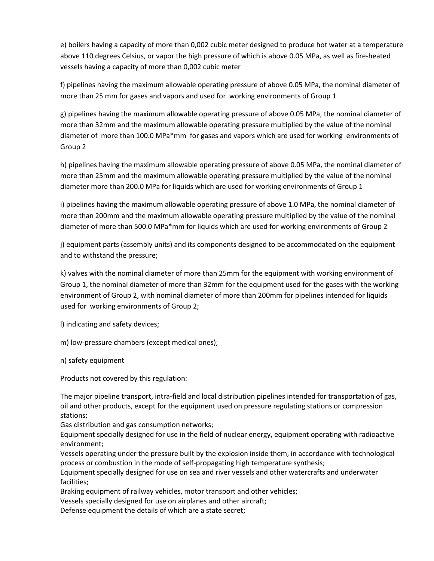e) boilers having a capacity of more than 0,002 cubic meter designed to produce hot water at a temperature above 110 degrees Celsius, or vapor the high pressure of which is above 0.05 MPa, as well as fire-heated vessels having a capacity of more than 0,002 cubic meter

f) pipelines having the maximum allowable operating pressure of above 0.05 MPa, the nominal diameter of more than 25 mm for gases and vapors and used for working environments of Group 1

g) pipelines having the maximum allowable operating pressure of above 0.05 MPa, the nominal diameter of more than 32mm and the maximum allowable operating pressure multiplied by the value of the nominal diameter of more than 100.0 MPa\*mm for gases and vapors which are used for working environments of Group 2

h) pipelines having the maximum allowable operating pressure of above 0.05 MPa, the nominal diameter of more than 25mm and the maximum allowable operating pressure multiplied by the value of the nominal diameter more than 200.0 MPa for liquids which are used for working environments of Group 1

i) pipelines having the maximum allowable operating pressure of above 1.0 MPa, the nominal diameter of more than 200mm and the maximum allowable operating pressure multiplied by the value of the nominal diameter of more than 500.0 MPa\*mm for liquids which are used for working environments of Group 2

j) equipment parts (assembly units) and its components designed to be accommodated on the equipment and to withstand the pressure;

k) valves with the nominal diameter of more than 25mm for the equipment with working environment of Group 1, the nominal diameter of more than 32mm for the equipment used for the gases with the working environment of Group 2, with nominal diameter of more than 200mm for pipelines intended for liquids used for working environments of Group 2;

l) indicating and safety devices;

m) low-pressure chambers (except medical ones);

n) safety equipment

Products not covered by this regulation:

The major pipeline transport, intra-field and local distribution pipelines intended for transportation of gas, oil and other products, except for the equipment used on pressure regulating stations or compression stations;

Gas distribution and gas consumption networks;

Equipment specially designed for use in the field of nuclear energy, equipment operating with radioactive environment;

Vessels operating under the pressure built by the explosion inside them, in accordance with technological process or combustion in the mode of self-propagating high temperature synthesis;

Equipment specially designed for use on sea and river vessels and other watercrafts and underwater facilities;

Braking equipment of railway vehicles, motor transport and other vehicles;

Vessels specially designed for use on airplanes and other aircraft;

Defense equipment the details of which are a state secret;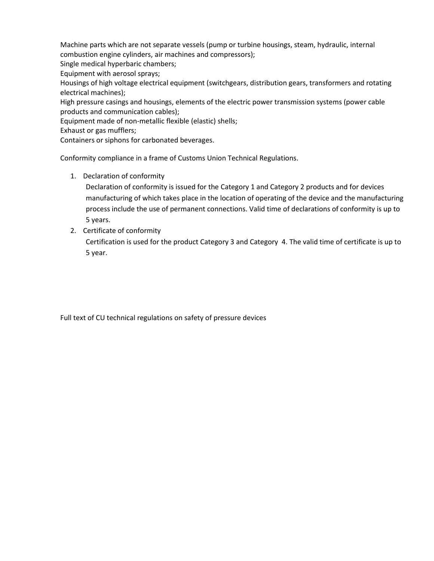Machine parts which are not separate vessels (pump or turbine housings, steam, hydraulic, internal combustion engine cylinders, air machines and compressors);

Single medical hyperbaric chambers;

Equipment with aerosol sprays;

Housings of high voltage electrical equipment (switchgears, distribution gears, transformers and rotating electrical machines);

High pressure casings and housings, elements of the electric power transmission systems (power cable products and communication cables);

Equipment made of non-metallic flexible (elastic) shells;

Exhaust or gas mufflers;

Containers or siphons for carbonated beverages.

Conformity compliance in a frame of Customs Union Technical Regulations.

1. Declaration of conformity

Declaration of conformity is issued for the Category 1 and Category 2 products and for devices manufacturing of which takes place in the location of operating of the device and the manufacturing process include the use of permanent connections. Valid time of declarations of conformity is up to 5 years.

2. Certificate of conformity

Certification is used for the product Category 3 and Category 4. The valid time of certificate is up to 5 year.

Full text of CU technical regulations on safety of pressure devices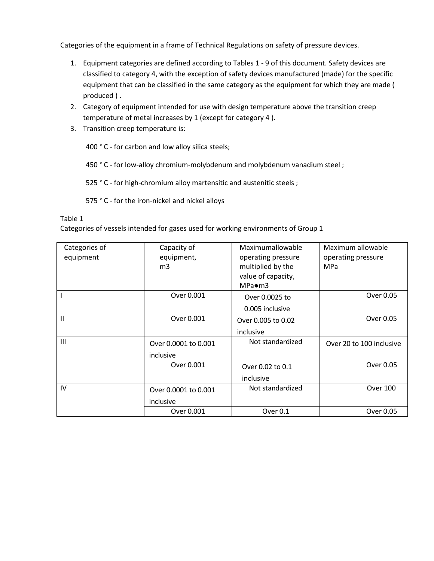Categories of the equipment in a frame of Technical Regulations on safety of pressure devices.

- 1. Equipment categories are defined according to Tables 1 9 of this document. Safety devices are classified to category 4, with the exception of safety devices manufactured (made) for the specific equipment that can be classified in the same category as the equipment for which they are made ( produced ) .
- 2. Category of equipment intended for use with design temperature above the transition creep temperature of metal increases by 1 (except for category 4 ).
- 3. Transition creep temperature is:

400 ° C - for carbon and low alloy silica steels;

450 ° C - for low-alloy chromium-molybdenum and molybdenum vanadium steel ;

525 ° C - for high-chromium alloy martensitic and austenitic steels ;

575 ° C - for the iron-nickel and nickel alloys

#### Table 1

Categories of vessels intended for gases used for working environments of Group 1

| Categories of | Capacity of          | Maximumallowable   | Maximum allowable        |
|---------------|----------------------|--------------------|--------------------------|
| equipment     | equipment,           | operating pressure | operating pressure       |
|               | m <sub>3</sub>       | multiplied by the  | MPa                      |
|               |                      | value of capacity, |                          |
|               |                      | $MPa\bullet m3$    |                          |
|               | Over 0.001           | Over 0.0025 to     | Over 0.05                |
|               |                      | 0.005 inclusive    |                          |
| Ш             | Over 0.001           | Over 0.005 to 0.02 | Over 0.05                |
|               |                      | inclusive          |                          |
| III           | Over 0.0001 to 0.001 | Not standardized   | Over 20 to 100 inclusive |
|               | inclusive            |                    |                          |
|               | Over 0.001           | Over 0.02 to 0.1   | Over 0.05                |
|               |                      | inclusive          |                          |
| IV            | Over 0.0001 to 0.001 | Not standardized   | <b>Over 100</b>          |
|               | inclusive            |                    |                          |
|               | Over 0.001           | Over 0.1           | Over 0.05                |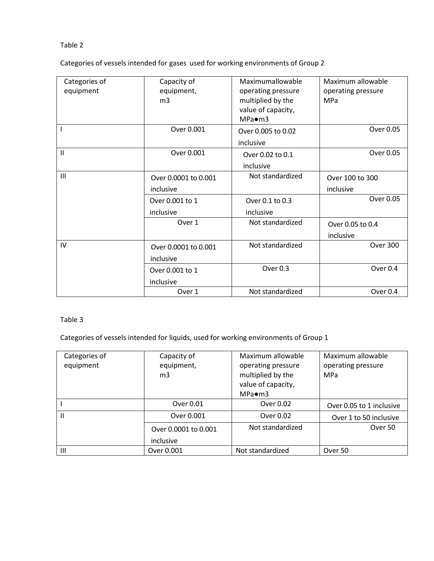Categories of vessels intended for gases used for working environments of Group 2

| Categories of<br>equipment | Capacity of<br>equipment,<br>m <sub>3</sub> | Maximumallowable<br>operating pressure<br>multiplied by the<br>value of capacity,<br>$MPa \bullet m3$ | Maximum allowable<br>operating pressure<br><b>MPa</b> |
|----------------------------|---------------------------------------------|-------------------------------------------------------------------------------------------------------|-------------------------------------------------------|
|                            | Over 0.001                                  | Over 0.005 to 0.02<br>inclusive                                                                       | Over 0.05                                             |
| $\mathbf{II}$              | Over 0.001                                  | Over 0.02 to 0.1<br>inclusive                                                                         | Over 0.05                                             |
| III                        | Over 0.0001 to 0.001<br>inclusive           | Not standardized                                                                                      | Over 100 to 300<br>inclusive                          |
|                            | Over 0.001 to 1<br>inclusive                | Over 0.1 to 0.3<br>inclusive                                                                          | Over 0.05                                             |
|                            | Over 1                                      | Not standardized                                                                                      | Over 0.05 to 0.4<br>inclusive                         |
| IV                         | Over 0.0001 to 0.001<br>inclusive           | Not standardized                                                                                      | <b>Over 300</b>                                       |
|                            | Over 0.001 to 1<br>inclusive                | Over 0.3                                                                                              | Over 0.4                                              |
|                            | Over 1                                      | Not standardized                                                                                      | Over 0.4                                              |

#### Table 3

Categories of vessels intended for liquids, used for working environments of Group 1

| Categories of  | Capacity of          | Maximum allowable  | Maximum allowable        |
|----------------|----------------------|--------------------|--------------------------|
| equipment      | equipment,           | operating pressure | operating pressure       |
|                | m <sub>3</sub>       | multiplied by the  | <b>MPa</b>               |
|                |                      | value of capacity, |                          |
|                |                      | $MPa\bullet m3$    |                          |
|                | Over 0.01            | Over 0.02          | Over 0.05 to 1 inclusive |
| $\mathbf{H}$   | Over 0.001           | Over 0.02          | Over 1 to 50 inclusive   |
|                | Over 0.0001 to 0.001 | Not standardized   | Over 50                  |
|                | inclusive            |                    |                          |
| $\mathbf{III}$ | Over 0.001           | Not standardized   | Over 50                  |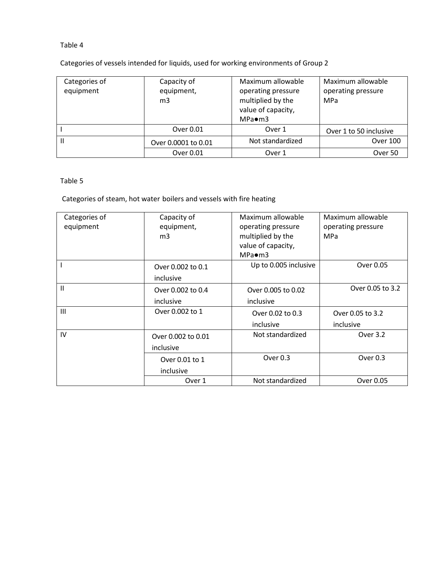Categories of vessels intended for liquids, used for working environments of Group 2

| Categories of<br>equipment | Capacity of<br>equipment,<br>m <sub>3</sub> | Maximum allowable<br>operating pressure<br>multiplied by the<br>value of capacity,<br>$MPa\bullet m3$ | Maximum allowable<br>operating pressure<br><b>MPa</b> |
|----------------------------|---------------------------------------------|-------------------------------------------------------------------------------------------------------|-------------------------------------------------------|
|                            | Over 0.01                                   | Over 1                                                                                                | Over 1 to 50 inclusive                                |
| Ш                          | Over 0.0001 to 0.01                         | Not standardized                                                                                      | <b>Over 100</b>                                       |
|                            | Over 0.01                                   | Over 1                                                                                                | Over 50                                               |

## Table 5

Categories of steam, hot water boilers and vessels with fire heating

| Categories of | Capacity of        | Maximum allowable     | Maximum allowable  |
|---------------|--------------------|-----------------------|--------------------|
| equipment     | equipment,         | operating pressure    | operating pressure |
|               | m <sub>3</sub>     | multiplied by the     | <b>MPa</b>         |
|               |                    | value of capacity,    |                    |
|               |                    | $MPa \bullet m3$      |                    |
|               | Over 0.002 to 0.1  | Up to 0.005 inclusive | Over 0.05          |
|               | inclusive          |                       |                    |
| $\mathsf{II}$ | Over 0.002 to 0.4  | Over 0.005 to 0.02    | Over 0.05 to 3.2   |
|               | inclusive          | inclusive             |                    |
| III           | Over 0.002 to 1    | Over 0.02 to 0.3      | Over 0.05 to 3.2   |
|               |                    | inclusive             | inclusive          |
| IV            | Over 0.002 to 0.01 | Not standardized      | Over 3.2           |
|               | inclusive          |                       |                    |
|               | Over 0.01 to 1     | Over 0.3              | Over $0.3$         |
|               | inclusive          |                       |                    |
|               | Over 1             | Not standardized      | Over 0.05          |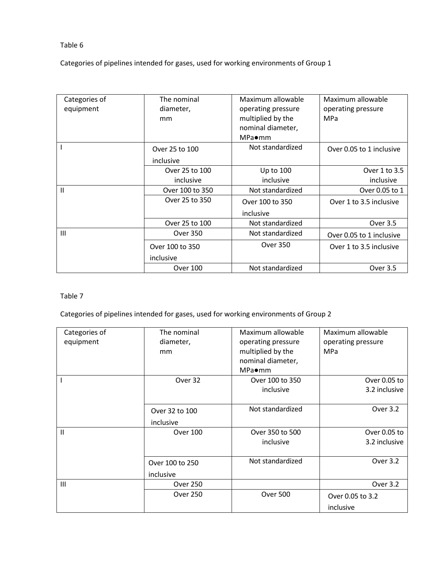Categories of pipelines intended for gases, used for working environments of Group 1

| Categories of | The nominal     | Maximum allowable  | Maximum allowable        |
|---------------|-----------------|--------------------|--------------------------|
| equipment     | diameter,       | operating pressure | operating pressure       |
|               | mm              | multiplied by the  | <b>MPa</b>               |
|               |                 | nominal diameter,  |                          |
|               |                 | MPa●mm             |                          |
|               |                 |                    |                          |
|               | Over 25 to 100  | Not standardized   | Over 0.05 to 1 inclusive |
|               | inclusive       |                    |                          |
|               | Over 25 to 100  | Up to 100          | Over 1 to 3.5            |
|               | inclusive       | inclusive          | inclusive                |
| $\mathsf{II}$ | Over 100 to 350 | Not standardized   | Over 0.05 to 1           |
|               | Over 25 to 350  | Over 100 to 350    | Over 1 to 3.5 inclusive  |
|               |                 | inclusive          |                          |
|               | Over 25 to 100  | Not standardized   | Over 3.5                 |
| III           | <b>Over 350</b> | Not standardized   | Over 0.05 to 1 inclusive |
|               | Over 100 to 350 | <b>Over 350</b>    | Over 1 to 3.5 inclusive  |
|               | inclusive       |                    |                          |
|               | <b>Over 100</b> | Not standardized   | Over 3.5                 |

#### Table 7

Categories of pipelines intended for gases, used for working environments of Group 2

| Categories of | The nominal     | Maximum allowable  | Maximum allowable  |
|---------------|-----------------|--------------------|--------------------|
| equipment     | diameter,       | operating pressure | operating pressure |
|               | mm              | multiplied by the  | <b>MPa</b>         |
|               |                 | nominal diameter,  |                    |
|               |                 | MPa●mm             |                    |
|               | Over 32         | Over 100 to 350    | Over 0.05 to       |
|               |                 | inclusive          | 3.2 inclusive      |
|               |                 |                    |                    |
|               | Over 32 to 100  | Not standardized   | Over 3.2           |
|               | inclusive       |                    |                    |
| $\mathsf{II}$ | <b>Over 100</b> | Over 350 to 500    | Over 0.05 to       |
|               |                 | inclusive          | 3.2 inclusive      |
|               |                 |                    |                    |
|               | Over 100 to 250 | Not standardized   | Over 3.2           |
|               | inclusive       |                    |                    |
| Ш             | <b>Over 250</b> |                    | Over 3.2           |
|               | <b>Over 250</b> | Over 500           | Over 0.05 to 3.2   |
|               |                 |                    | inclusive          |